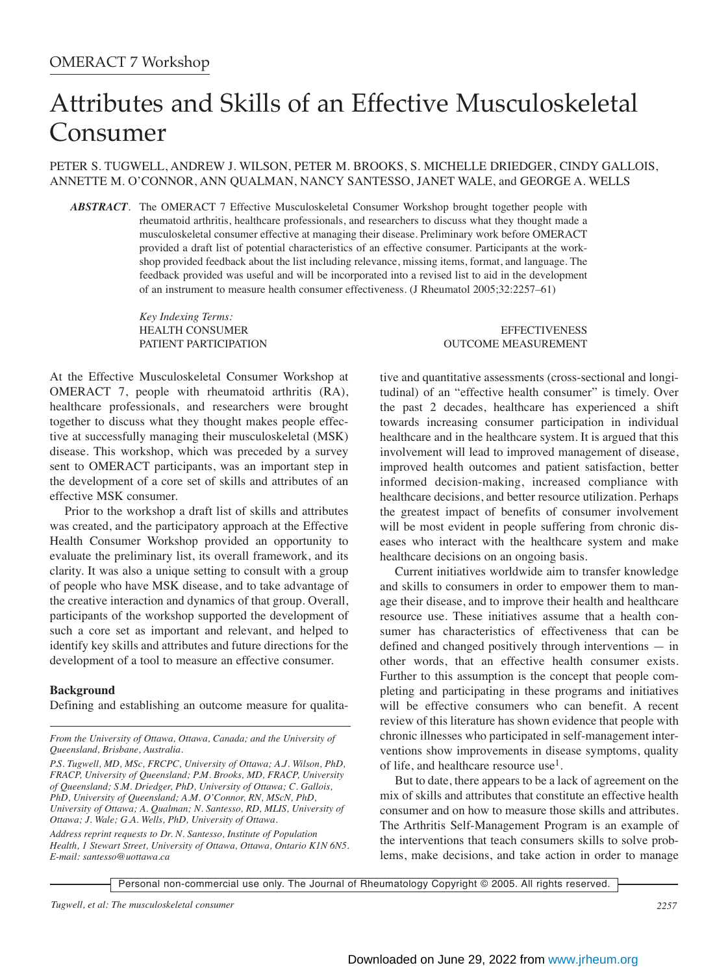# Attributes and Skills of an Effective Musculoskeletal Consumer

PETER S. TUGWELL, ANDREW J. WILSON, PETER M. BROOKS, S. MICHELLE DRIEDGER, CINDY GALLOIS, ANNETTE M. O'CONNOR, ANN QUALMAN, NANCY SANTESSO, JANET WALE, and GEORGE A. WELLS

*ABSTRACT.* The OMERACT 7 Effective Musculoskeletal Consumer Workshop brought together people with rheumatoid arthritis, healthcare professionals, and researchers to discuss what they thought made a musculoskeletal consumer effective at managing their disease. Preliminary work before OMERACT provided a draft list of potential characteristics of an effective consumer. Participants at the workshop provided feedback about the list including relevance, missing items, format, and language. The feedback provided was useful and will be incorporated into a revised list to aid in the development of an instrument to measure health consumer effectiveness. (J Rheumatol 2005;32:2257–61)

*Key Indexing Terms:*

At the Effective Musculoskeletal Consumer Workshop at OMERACT 7, people with rheumatoid arthritis (RA), healthcare professionals, and researchers were brought together to discuss what they thought makes people effective at successfully managing their musculoskeletal (MSK) disease. This workshop, which was preceded by a survey sent to OMERACT participants, was an important step in the development of a core set of skills and attributes of an effective MSK consumer.

Prior to the workshop a draft list of skills and attributes was created, and the participatory approach at the Effective Health Consumer Workshop provided an opportunity to evaluate the preliminary list, its overall framework, and its clarity. It was also a unique setting to consult with a group of people who have MSK disease, and to take advantage of the creative interaction and dynamics of that group. Overall, participants of the workshop supported the development of such a core set as important and relevant, and helped to identify key skills and attributes and future directions for the development of a tool to measure an effective consumer.

#### **Background**

Defining and establishing an outcome measure for qualita-

*From the University of Ottawa, Ottawa, Canada; and the University of Queensland, Brisbane, Australia.*

*Address reprint requests to Dr. N. Santesso, Institute of Population Health, 1 Stewart Street, University of Ottawa, Ottawa, Ontario K1N 6N5. E-mail: santesso@uottawa.ca*

HEALTH CONSUMER EFFECTIVENESS PATIENT PARTICIPATION OUTCOME MEASUREMENT

> tive and quantitative assessments (cross-sectional and longitudinal) of an "effective health consumer" is timely. Over the past 2 decades, healthcare has experienced a shift towards increasing consumer participation in individual healthcare and in the healthcare system. It is argued that this involvement will lead to improved management of disease, improved health outcomes and patient satisfaction, better informed decision-making, increased compliance with healthcare decisions, and better resource utilization. Perhaps the greatest impact of benefits of consumer involvement will be most evident in people suffering from chronic diseases who interact with the healthcare system and make healthcare decisions on an ongoing basis.

> Current initiatives worldwide aim to transfer knowledge and skills to consumers in order to empower them to manage their disease, and to improve their health and healthcare resource use. These initiatives assume that a health consumer has characteristics of effectiveness that can be defined and changed positively through interventions — in other words, that an effective health consumer exists. Further to this assumption is the concept that people completing and participating in these programs and initiatives will be effective consumers who can benefit. A recent review of this literature has shown evidence that people with chronic illnesses who participated in self-management interventions show improvements in disease symptoms, quality of life, and healthcare resource use<sup>1</sup>.

> But to date, there appears to be a lack of agreement on the mix of skills and attributes that constitute an effective health consumer and on how to measure those skills and attributes. The Arthritis Self-Management Program is an example of the interventions that teach consumers skills to solve problems, make decisions, and take action in order to manage

*P.S. Tugwell, MD, MSc, FRCPC, University of Ottawa; A.J. Wilson, PhD, FRACP, University of Queensland; P.M. Brooks, MD, FRACP, University of Queensland; S.M. Driedger, PhD, University of Ottawa; C. Gallois, PhD, University of Queensland; A.M. O'Connor, RN, MScN, PhD, University of Ottawa; A. Qualman; N. Santesso, RD, MLIS, University of Ottawa; J. Wale; G.A. Wells, PhD, University of Ottawa.*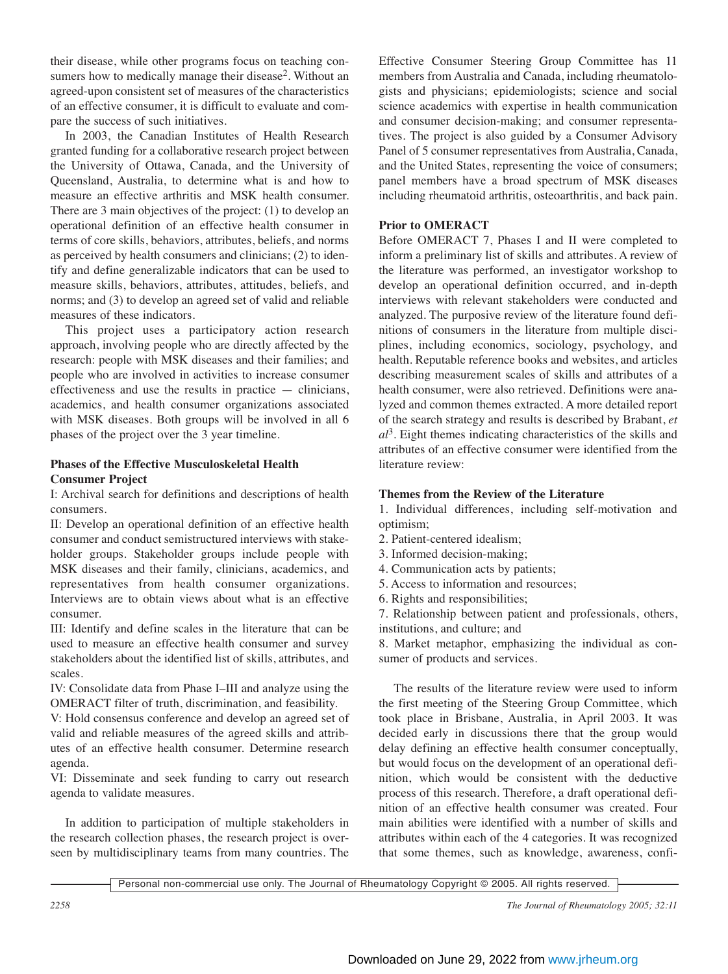their disease, while other programs focus on teaching consumers how to medically manage their disease<sup>2</sup>. Without an agreed-upon consistent set of measures of the characteristics of an effective consumer, it is difficult to evaluate and compare the success of such initiatives.

In 2003, the Canadian Institutes of Health Research granted funding for a collaborative research project between the University of Ottawa, Canada, and the University of Queensland, Australia, to determine what is and how to measure an effective arthritis and MSK health consumer. There are 3 main objectives of the project: (1) to develop an operational definition of an effective health consumer in terms of core skills, behaviors, attributes, beliefs, and norms as perceived by health consumers and clinicians; (2) to identify and define generalizable indicators that can be used to measure skills, behaviors, attributes, attitudes, beliefs, and norms; and (3) to develop an agreed set of valid and reliable measures of these indicators.

This project uses a participatory action research approach, involving people who are directly affected by the research: people with MSK diseases and their families; and people who are involved in activities to increase consumer effectiveness and use the results in practice — clinicians, academics, and health consumer organizations associated with MSK diseases. Both groups will be involved in all 6 phases of the project over the 3 year timeline.

# **Phases of the Effective Musculoskeletal Health Consumer Project**

I: Archival search for definitions and descriptions of health consumers.

II: Develop an operational definition of an effective health consumer and conduct semistructured interviews with stakeholder groups. Stakeholder groups include people with MSK diseases and their family, clinicians, academics, and representatives from health consumer organizations. Interviews are to obtain views about what is an effective consumer.

III: Identify and define scales in the literature that can be used to measure an effective health consumer and survey stakeholders about the identified list of skills, attributes, and scales.

IV: Consolidate data from Phase I–III and analyze using the OMERACT filter of truth, discrimination, and feasibility.

V: Hold consensus conference and develop an agreed set of valid and reliable measures of the agreed skills and attributes of an effective health consumer. Determine research agenda.

VI: Disseminate and seek funding to carry out research agenda to validate measures.

In addition to participation of multiple stakeholders in the research collection phases, the research project is overseen by multidisciplinary teams from many countries. The

Effective Consumer Steering Group Committee has 11 members from Australia and Canada, including rheumatologists and physicians; epidemiologists; science and social science academics with expertise in health communication and consumer decision-making; and consumer representatives. The project is also guided by a Consumer Advisory Panel of 5 consumer representatives from Australia, Canada, and the United States, representing the voice of consumers; panel members have a broad spectrum of MSK diseases including rheumatoid arthritis, osteoarthritis, and back pain.

# **Prior to OMERACT**

Before OMERACT 7, Phases I and II were completed to inform a preliminary list of skills and attributes. A review of the literature was performed, an investigator workshop to develop an operational definition occurred, and in-depth interviews with relevant stakeholders were conducted and analyzed. The purposive review of the literature found definitions of consumers in the literature from multiple disciplines, including economics, sociology, psychology, and health. Reputable reference books and websites, and articles describing measurement scales of skills and attributes of a health consumer, were also retrieved. Definitions were analyzed and common themes extracted. A more detailed report of the search strategy and results is described by Brabant, *et al*3. Eight themes indicating characteristics of the skills and attributes of an effective consumer were identified from the literature review:

## **Themes from the Review of the Literature**

1. Individual differences, including self-motivation and optimism;

- 2. Patient-centered idealism;
- 3. Informed decision-making;
- 4. Communication acts by patients;
- 5. Access to information and resources;
- 6. Rights and responsibilities;

7. Relationship between patient and professionals, others, institutions, and culture; and

8. Market metaphor, emphasizing the individual as consumer of products and services.

The results of the literature review were used to inform the first meeting of the Steering Group Committee, which took place in Brisbane, Australia, in April 2003. It was decided early in discussions there that the group would delay defining an effective health consumer conceptually, but would focus on the development of an operational definition, which would be consistent with the deductive process of this research. Therefore, a draft operational definition of an effective health consumer was created. Four main abilities were identified with a number of skills and attributes within each of the 4 categories. It was recognized that some themes, such as knowledge, awareness, confi-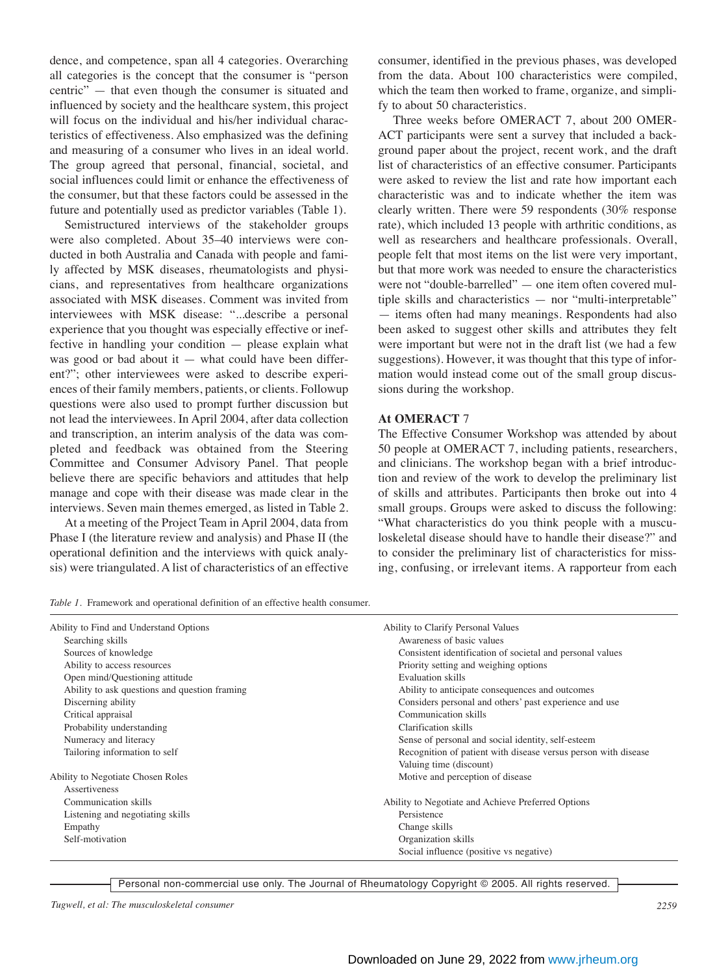dence, and competence, span all 4 categories. Overarching all categories is the concept that the consumer is "person centric" — that even though the consumer is situated and influenced by society and the healthcare system, this project will focus on the individual and his/her individual characteristics of effectiveness. Also emphasized was the defining and measuring of a consumer who lives in an ideal world. The group agreed that personal, financial, societal, and social influences could limit or enhance the effectiveness of the consumer, but that these factors could be assessed in the future and potentially used as predictor variables (Table 1).

Semistructured interviews of the stakeholder groups were also completed. About 35–40 interviews were conducted in both Australia and Canada with people and family affected by MSK diseases, rheumatologists and physicians, and representatives from healthcare organizations associated with MSK diseases. Comment was invited from interviewees with MSK disease: "...describe a personal experience that you thought was especially effective or ineffective in handling your condition — please explain what was good or bad about it  $-$  what could have been different?"; other interviewees were asked to describe experiences of their family members, patients, or clients. Followup questions were also used to prompt further discussion but not lead the interviewees. In April 2004, after data collection and transcription, an interim analysis of the data was completed and feedback was obtained from the Steering Committee and Consumer Advisory Panel. That people believe there are specific behaviors and attitudes that help manage and cope with their disease was made clear in the interviews. Seven main themes emerged, as listed in Table 2.

At a meeting of the Project Team in April 2004, data from Phase I (the literature review and analysis) and Phase II (the operational definition and the interviews with quick analysis) were triangulated. A list of characteristics of an effective consumer, identified in the previous phases, was developed from the data. About 100 characteristics were compiled, which the team then worked to frame, organize, and simplify to about 50 characteristics.

Three weeks before OMERACT 7, about 200 OMER-ACT participants were sent a survey that included a background paper about the project, recent work, and the draft list of characteristics of an effective consumer. Participants were asked to review the list and rate how important each characteristic was and to indicate whether the item was clearly written. There were 59 respondents (30% response rate), which included 13 people with arthritic conditions, as well as researchers and healthcare professionals. Overall, people felt that most items on the list were very important, but that more work was needed to ensure the characteristics were not "double-barrelled" — one item often covered multiple skills and characteristics — nor "multi-interpretable" — items often had many meanings. Respondents had also been asked to suggest other skills and attributes they felt were important but were not in the draft list (we had a few suggestions). However, it was thought that this type of information would instead come out of the small group discussions during the workshop.

#### **At OMERACT** 7

The Effective Consumer Workshop was attended by about 50 people at OMERACT 7, including patients, researchers, and clinicians. The workshop began with a brief introduction and review of the work to develop the preliminary list of skills and attributes. Participants then broke out into 4 small groups. Groups were asked to discuss the following: "What characteristics do you think people with a musculoskeletal disease should have to handle their disease?" and to consider the preliminary list of characteristics for missing, confusing, or irrelevant items. A rapporteur from each

*Table 1.* Framework and operational definition of an effective health consumer.

| Ability to Find and Understand Options        | Ability to Clarify Personal Values                             |
|-----------------------------------------------|----------------------------------------------------------------|
| Searching skills                              | Awareness of basic values                                      |
| Sources of knowledge                          | Consistent identification of societal and personal values      |
| Ability to access resources                   | Priority setting and weighing options                          |
| Open mind/Questioning attitude                | Evaluation skills                                              |
| Ability to ask questions and question framing | Ability to anticipate consequences and outcomes                |
| Discerning ability                            | Considers personal and others' past experience and use         |
| Critical appraisal                            | Communication skills                                           |
| Probability understanding                     | Clarification skills                                           |
| Numeracy and literacy                         | Sense of personal and social identity, self-esteem             |
| Tailoring information to self                 | Recognition of patient with disease versus person with disease |
|                                               | Valuing time (discount)                                        |
| Ability to Negotiate Chosen Roles             | Motive and perception of disease                               |
| Assertiveness                                 |                                                                |
| Communication skills                          | Ability to Negotiate and Achieve Preferred Options             |
| Listening and negotiating skills              | Persistence                                                    |
| Empathy                                       | Change skills                                                  |
| Self-motivation                               | Organization skills                                            |
|                                               | Social influence (positive vs negative)                        |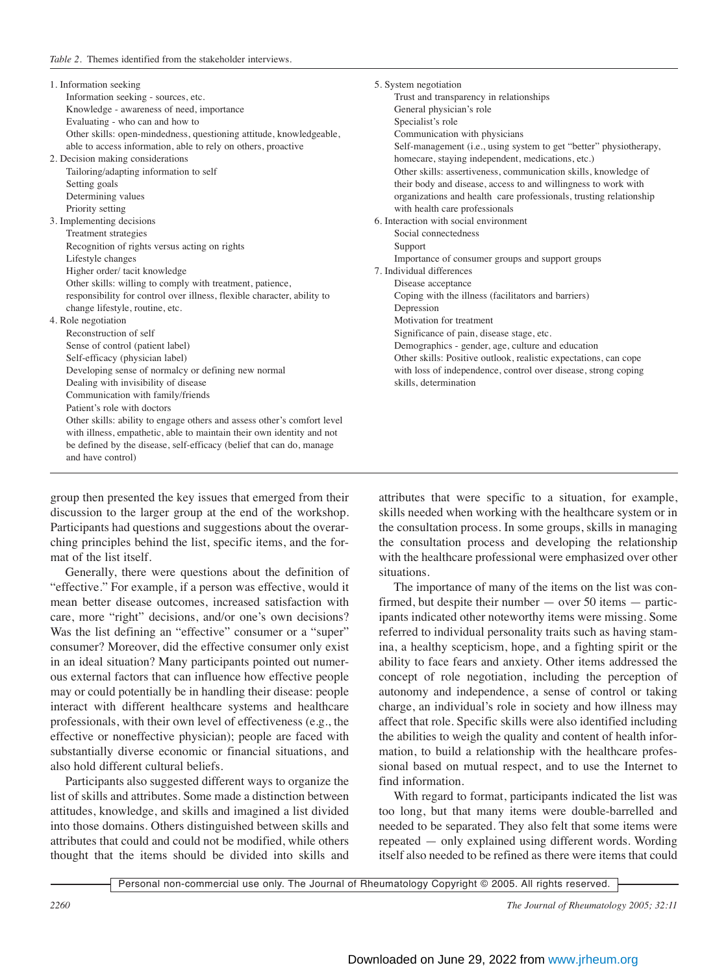| 1. Information seeking                                                  | 5. System negotiation                                              |
|-------------------------------------------------------------------------|--------------------------------------------------------------------|
| Information seeking - sources, etc.                                     | Trust and transparency in relationships                            |
| Knowledge - awareness of need, importance                               | General physician's role                                           |
| Evaluating - who can and how to                                         | Specialist's role                                                  |
| Other skills: open-mindedness, questioning attitude, knowledgeable,     | Communication with physicians                                      |
| able to access information, able to rely on others, proactive           | Self-management (i.e., using system to get "better" physiotherapy, |
| 2. Decision making considerations                                       | homecare, staying independent, medications, etc.)                  |
| Tailoring/adapting information to self                                  | Other skills: assertiveness, communication skills, knowledge of    |
| Setting goals                                                           | their body and disease, access to and willingness to work with     |
| Determining values                                                      | organizations and health care professionals, trusting relationship |
| Priority setting                                                        | with health care professionals                                     |
| 3. Implementing decisions                                               | 6. Interaction with social environment                             |
| Treatment strategies                                                    | Social connectedness                                               |
| Recognition of rights versus acting on rights                           | Support                                                            |
| Lifestyle changes                                                       | Importance of consumer groups and support groups                   |
| Higher order/tacit knowledge                                            | 7. Individual differences                                          |
| Other skills: willing to comply with treatment, patience,               | Disease acceptance                                                 |
| responsibility for control over illness, flexible character, ability to | Coping with the illness (facilitators and barriers)                |
| change lifestyle, routine, etc.                                         | Depression                                                         |
| 4. Role negotiation                                                     | Motivation for treatment                                           |
| Reconstruction of self                                                  | Significance of pain, disease stage, etc.                          |
| Sense of control (patient label)                                        | Demographics - gender, age, culture and education                  |
| Self-efficacy (physician label)                                         | Other skills: Positive outlook, realistic expectations, can cope   |
| Developing sense of normalcy or defining new normal                     | with loss of independence, control over disease, strong coping     |
| Dealing with invisibility of disease                                    | skills, determination                                              |
| Communication with family/friends                                       |                                                                    |
| Patient's role with doctors                                             |                                                                    |
| Other skills: ability to engage others and assess other's comfort level |                                                                    |
| with illness, empathetic, able to maintain their own identity and not   |                                                                    |
| be defined by the disease, self-efficacy (belief that can do, manage    |                                                                    |
| and have control)                                                       |                                                                    |
|                                                                         |                                                                    |

group then presented the key issues that emerged from their discussion to the larger group at the end of the workshop. Participants had questions and suggestions about the overarching principles behind the list, specific items, and the format of the list itself.

Generally, there were questions about the definition of "effective." For example, if a person was effective, would it mean better disease outcomes, increased satisfaction with care, more "right" decisions, and/or one's own decisions? Was the list defining an "effective" consumer or a "super" consumer? Moreover, did the effective consumer only exist in an ideal situation? Many participants pointed out numerous external factors that can influence how effective people may or could potentially be in handling their disease: people interact with different healthcare systems and healthcare professionals, with their own level of effectiveness (e.g., the effective or noneffective physician); people are faced with substantially diverse economic or financial situations, and also hold different cultural beliefs.

Participants also suggested different ways to organize the list of skills and attributes. Some made a distinction between attitudes, knowledge, and skills and imagined a list divided into those domains. Others distinguished between skills and attributes that could and could not be modified, while others thought that the items should be divided into skills and attributes that were specific to a situation, for example, skills needed when working with the healthcare system or in the consultation process. In some groups, skills in managing the consultation process and developing the relationship with the healthcare professional were emphasized over other situations.

The importance of many of the items on the list was confirmed, but despite their number — over 50 items — participants indicated other noteworthy items were missing. Some referred to individual personality traits such as having stamina, a healthy scepticism, hope, and a fighting spirit or the ability to face fears and anxiety. Other items addressed the concept of role negotiation, including the perception of autonomy and independence, a sense of control or taking charge, an individual's role in society and how illness may affect that role. Specific skills were also identified including the abilities to weigh the quality and content of health information, to build a relationship with the healthcare professional based on mutual respect, and to use the Internet to find information.

With regard to format, participants indicated the list was too long, but that many items were double-barrelled and needed to be separated. They also felt that some items were repeated — only explained using different words. Wording itself also needed to be refined as there were items that could